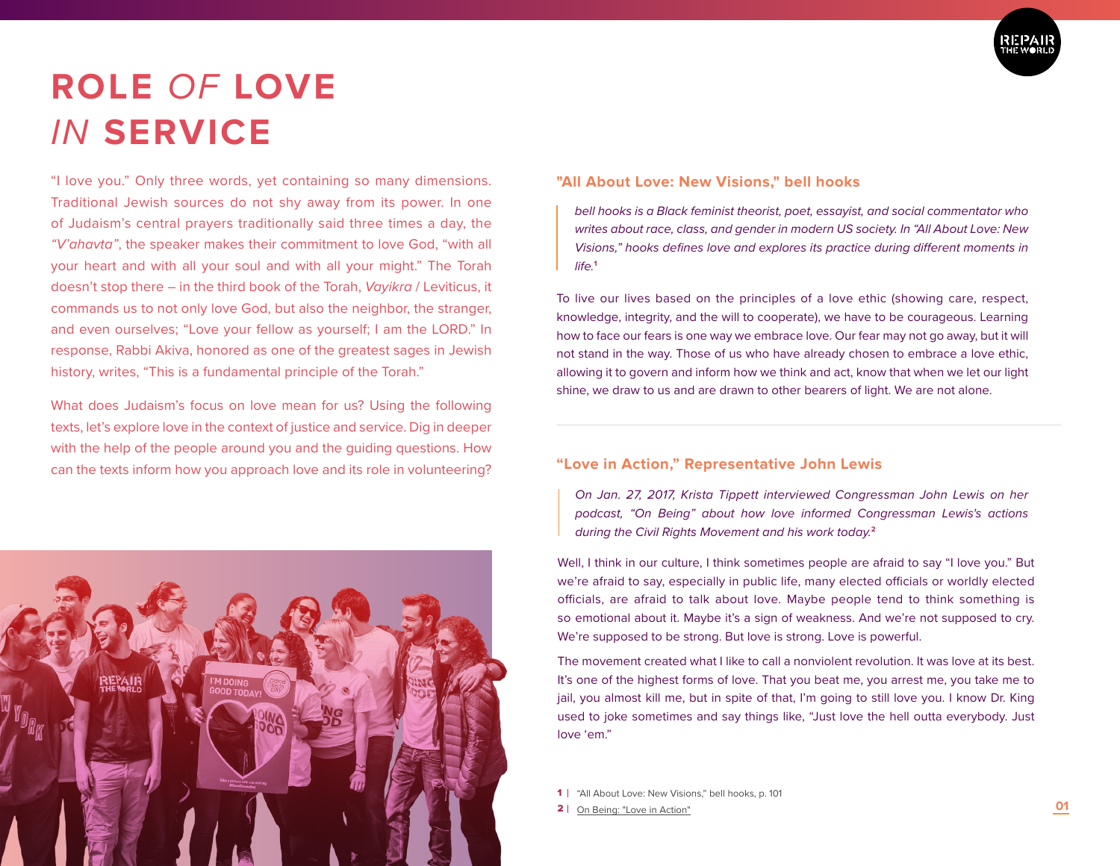

# **ROLE** *OF* **LOVE**  *IN* **SERVICE**

"I love you." Only three words, yet containing so many dimensions. Traditional Jewish sources do not shy away from its power. In one of Judaism's central prayers traditionally said three times a day, the *"V'ahavta"*, the speaker makes their commitment to love God, "with all your heart and with all your soul and with all your might." The Torah doesn't stop there – in the third book of the Torah, *Vayikra* / Leviticus, it commands us to not only love God, but also the neighbor, the stranger, and even ourselves; "Love your fellow as yourself; I am the LORD." In response, Rabbi Akiva, honored as one of the greatest sages in Jewish history, writes, "This is a fundamental principle of the Torah."

What does Judaism's focus on love mean for us? Using the following texts, let's explore love in the context of justice and service. Dig in deeper with the help of the people around you and the guiding questions. How can the texts inform how you approach love and its role in volunteering?



#### **"All About Love: New Visions," bell hooks**

*bell hooks is a Black feminist theorist, poet, essayist, and social commentator who writes about race, class, and gender in modern US society. In "All About Love: New Visions," hooks defines love and explores its practice during different moments in*   $l$ *ife.*<sup>1</sup>

To live our lives based on the principles of a love ethic (showing care, respect, knowledge, integrity, and the will to cooperate), we have to be courageous. Learning how to face our fears is one way we embrace love. Our fear may not go away, but it will not stand in the way. Those of us who have already chosen to embrace a love ethic, allowing it to govern and inform how we think and act, know that when we let our light shine, we draw to us and are drawn to other bearers of light. We are not alone.

### **"Love in Action," Representative John Lewis**

*On Jan. 27, 2017, Krista Tippett interviewed Congressman John Lewis on her podcast, "On Being" about how love informed Congressman Lewis's actions during the Civil Rights Movement and his work today.***<sup>2</sup>**

Well, I think in our culture, I think sometimes people are afraid to say "I love you." But we're afraid to say, especially in public life, many elected officials or worldly elected officials, are afraid to talk about love. Maybe people tend to think something is so emotional about it. Maybe it's a sign of weakness. And we're not supposed to cry. We're supposed to be strong. But love is strong. Love is powerful.

The movement created what I like to call a nonviolent revolution. It was love at its best. It's one of the highest forms of love. That you beat me, you arrest me, you take me to jail, you almost kill me, but in spite of that, I'm going to still love you. I know Dr. King used to joke sometimes and say things like, "Just love the hell outta everybody. Just love 'em."

1 | "All About Love: New Visions," bell hooks, p. 101

2 | On Being: "Love in Action"